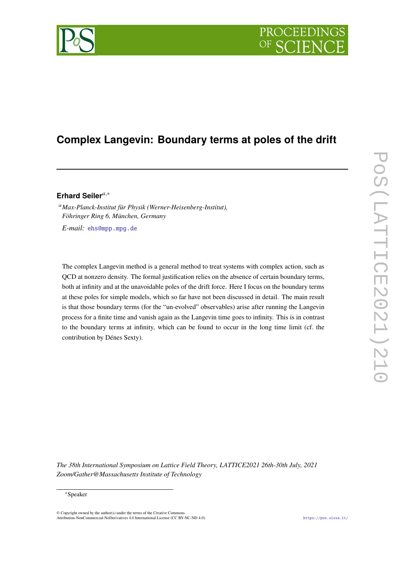# PROCEEDIN

## **Complex Langevin: Boundary terms at poles of the drift**

## Erhard Seiler<sup>a,\*</sup>

*Max-Planck-Institut für Physik (Werner-Heisenberg-Institut), Föhringer Ring 6, München, Germany E-mail:* [ehs@mpp.mpg.de](mailto:{ehs@mpp.mpg.de})

The complex Langevin method is a general method to treat systems with complex action, such as QCD at nonzero density. The formal justification relies on the absence of certain boundary terms, both at infinity and at the unavoidable poles of the drift force. Here I focus on the boundary terms at these poles for simple models, which so far have not been discussed in detail. The main result is that those boundary terms (for the "un-evolved" observables) arise after running the Langevin process for a finite time and vanish again as the Langevin time goes to infinity. This is in contrast to the boundary terms at infinity, which can be found to occur in the long time limit (cf. the contribution by Dénes Sexty).

*The 38th International Symposium on Lattice Field Theory, LATTICE2021 26th-30th July, 2021 Zoom/Gather@Massachusetts Institute of Technology*

#### <sup>∗</sup>Speaker

© Copyright owned by the author(s) under the terms of the Creative Common Attribution-NonCommercial-NoDerivatives 4.0 International License (CC BY-NC-ND 4.0). <https://pos.sissa.it/>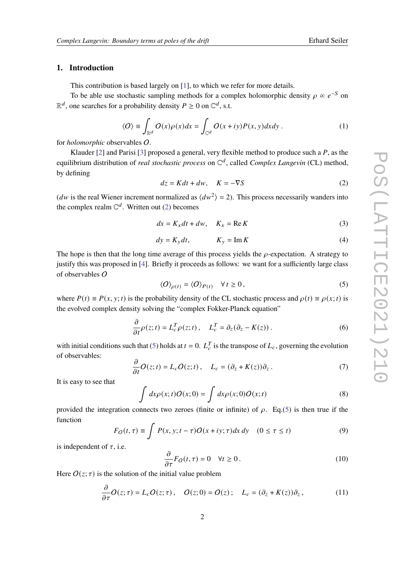### **1. Introduction**

This contribution is based largely on [\[1\]](#page-6-0), to which we refer for more details.

To be able use stochastic sampling methods for a complex holomorphic density  $\rho \propto e^{-S}$  on  $\mathbb{R}^d$ , one searches for a probability density  $P \ge 0$  on  $\mathbb{C}^d$ , s.t.

$$
\langle O \rangle \equiv \int_{\mathbb{R}^d} O(x) \rho(x) dx = \int_{\mathbb{C}^d} O(x + iy) P(x, y) dx dy.
$$
 (1)

for *holomorphic* observables O.

Klauder [\[2\]](#page-6-1) and Parisi [\[3\]](#page-6-2) proposed a general, very flexible method to produce such a  $P$ , as the equilibrium distribution of *real stochastic process* on  $\mathbb{C}^d$ , called *Complex Langevin* (CL) method, by defining

<span id="page-1-0"></span>
$$
dz = Kdt + dw, \quad K = -\nabla S \tag{2}
$$

(*dw* is the real Wiener increment normalized as  $\langle dw^2 \rangle = 2$ ). This process necessarily wanders into the complex realm  $\mathbb{C}^d$ . Written out [\(2\)](#page-1-0) becomes

$$
dx = K_x dt + dw, \quad K_x = \text{Re } K \tag{3}
$$

$$
dy = K_y dt, \t K_y = \text{Im } K \t (4)
$$

The hope is then that the long time average of this process yields the  $\rho$ -expectation. A strategy to justify this was proposed in [\[4\]](#page-6-3). Briefly it proceeds as follows: we want for a sufficiently large class of observables O

<span id="page-1-1"></span>
$$
\langle O \rangle_{\rho(t)} = \langle O \rangle_{P(t)} \quad \forall \, t \ge 0, \tag{5}
$$

where  $P(t) \equiv P(x, y; t)$  is the probability density of the CL stochastic process and  $\rho(t) \equiv \rho(x; t)$  is the evolved complex density solving the "complex Fokker-Planck equation"

$$
\frac{\partial}{\partial t}\rho(z;t) = L_c^T \rho(z;t), \quad L_c^T = \partial_z(\partial_z - K(z)). \tag{6}
$$

with initial conditions such that [\(5\)](#page-1-1) holds at  $t = 0$ .  $L_c^T$  is the transpose of  $L_c$ , governing the evolution of observables:

$$
\frac{\partial}{\partial t}O(z;t) = L_c O(z;t) , \quad L_c = (\partial_z + K(z))\partial_z . \tag{7}
$$

It is easy to see that

$$
\int dx \rho(x;t) O(x;0) = \int dx \rho(x;0) O(x;t)
$$
\n(8)

provided the integration connects two zeroes (finite or infinite) of  $\rho$ . Eq.[\(5\)](#page-1-1) is then true if the function

$$
F_O(t,\tau) \equiv \int P(x,y;t-\tau)O(x+iy;\tau)dx\,dy \quad (0 \le \tau \le t)
$$
\n(9)

is independent of  $\tau$ , i.e.

<span id="page-1-2"></span>
$$
\frac{\partial}{\partial \tau} F_O(t, \tau) = 0 \quad \forall t \ge 0.
$$
\n(10)

Here  $O(z; \tau)$  is the solution of the initial value problem

$$
\frac{\partial}{\partial \tau} O(z;\tau) = L_c O(z;\tau), \quad O(z;0) = O(z); \quad L_c = (\partial_z + K(z))\partial_z, \tag{11}
$$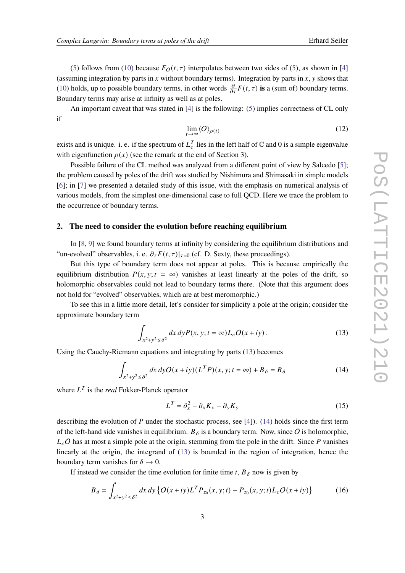[\(5\)](#page-1-1) follows from [\(10\)](#page-1-2) because  $F_O(t, \tau)$  interpolates between two sides of (5), as shown in [\[4\]](#page-6-3) (assuming integration by parts in x without boundary terms). Integration by parts in x, y shows that [\(10\)](#page-1-2) holds, up to possible boundary terms, in other words  $\frac{\partial}{\partial \tau}F(t, \tau)$  is a (sum of) boundary terms. Boundary terms may arise at infinity as well as at poles.

An important caveat that was stated in [\[4\]](#page-6-3) is the following: [\(5\)](#page-1-1) implies correctness of CL only if

$$
\lim_{t \to \infty} \langle O \rangle_{\rho(t)} \tag{12}
$$

exists and is unique. i. e. if the spectrum of  $L_c^T$  lies in the left half of  $\mathbb C$  and 0 is a simple eigenvalue with eigenfunction  $\rho(x)$  (see the remark at the end of Section 3).

Possible failure of the CL method was analyzed from a different point of view by Salcedo [\[5\]](#page-6-4); the problem caused by poles of the drift was studied by Nishimura and Shimasaki in simple models [\[6\]](#page-6-5); in [\[7\]](#page-6-6) we presented a detailed study of this issue, with the emphasis on numerical analysis of various models, from the simplest one-dimensional case to full QCD. Here we trace the problem to the occurrence of boundary terms.

#### **2. The need to consider the evolution before reaching equilibrium**

In [\[8,](#page-6-7) [9\]](#page-6-8) we found boundary terms at infinity by considering the equilibrium distributions and "un-evolved" observables, i. e.  $\partial_{\tau} F(t, \tau)|_{\tau=0}$  (cf. D. Sexty, these proceedings).

But this type of boundary term does not appear at poles. This is because empirically the equilibrium distribution  $P(x, y; t = \infty)$  vanishes at least linearly at the poles of the drift, so holomorphic observables could not lead to boundary terms there. (Note that this argument does not hold for "evolved" observables, which are at best meromorphic.)

To see this in a little more detail, let's consider for simplicity a pole at the origin; consider the approximate boundary term

<span id="page-2-0"></span>
$$
\int_{x^2+y^2 \le \delta^2} dx \, dy P(x, y; t = \infty) L_c O(x + iy) \,. \tag{13}
$$

Using the Cauchy-Riemann equations and integrating by parts [\(13\)](#page-2-0) becomes

<span id="page-2-1"></span>
$$
\int_{x^2+y^2 \le \delta^2} dx \, dy O(x+iy) (L^T P)(x, y; t = \infty) + B_\delta = B_\delta \tag{14}
$$

where  $L^T$  is the *real* Fokker-Planck operator

$$
L^T = \partial_x^2 - \partial_x K_x - \partial_y K_y \tag{15}
$$

describing the evolution of  $P$  under the stochastic process, see [\[4\]](#page-6-3)). [\(14\)](#page-2-1) holds since the first term of the left-hand side vanishes in equilibrium.  $B_{\delta}$  is a boundary term. Now, since O is holomorphic,  $L_cO$  has at most a simple pole at the origin, stemming from the pole in the drift. Since P vanishes linearly at the origin, the integrand of [\(13\)](#page-2-0) is bounded in the region of integration, hence the boundary term vanishes for  $\delta \to 0$ .

If instead we consider the time evolution for finite time t,  $B_{\delta}$  now is given by

<span id="page-2-2"></span>
$$
B_{\delta} = \int_{x^2 + y^2 \le \delta^2} dx \, dy \, \{ O(x + iy) L^T P_{z_0}(x, y; t) - P_{z_0}(x, y; t) L_c O(x + iy) \}
$$
(16)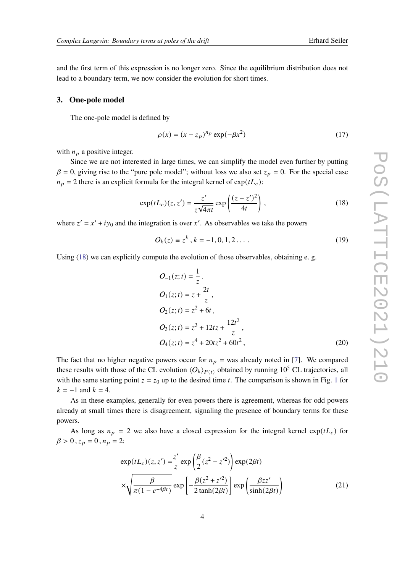and the first term of this expression is no longer zero. Since the equilibrium distribution does not lead to a boundary term, we now consider the evolution for short times.

#### **3. One-pole model**

The one-pole model is defined by

$$
\rho(x) = (x - z_p)^{n_p} \exp(-\beta x^2)
$$
\n(17)

with  $n_p$  a positive integer.

Since we are not interested in large times, we can simplify the model even further by putting  $\beta = 0$ , giving rise to the "pure pole model"; without loss we also set  $z_p = 0$ . For the special case  $n_p = 2$  there is an explicit formula for the integral kernel of  $exp(tL_c)$ :

<span id="page-3-0"></span>
$$
\exp(tL_c)(z, z') = \frac{z'}{z\sqrt{4\pi t}} \exp\left(\frac{(z-z')^2}{4t}\right),\tag{18}
$$

where  $z' = x' + iy_0$  and the integration is over x'. As observables we take the powers

$$
O_k(z) \equiv z^k, k = -1, 0, 1, 2, \dots
$$
 (19)

Using  $(18)$  we can explicitly compute the evolution of those observables, obtaining e. g.

<span id="page-3-1"></span>
$$
O_{-1}(z;t) = \frac{1}{z}.
$$
  
\n
$$
O_1(z;t) = z + \frac{2t}{z},
$$
  
\n
$$
O_2(z;t) = z^2 + 6t,
$$
  
\n
$$
O_3(z;t) = z^3 + 12tz + \frac{12t^2}{z},
$$
  
\n
$$
O_4(z;t) = z^4 + 20tz^2 + 60t^2,
$$
\n(20)

The fact that no higher negative powers occur for  $n_p$  = was already noted in [\[7\]](#page-6-6). We compared these results with those of the CL evolution  $\langle O_k \rangle_{P(t)}$  obtained by running 10<sup>5</sup> CL trajectories, all with the same starting point  $z = z_0$  up to the desired time t. The comparison is shown in Fig. [1](#page-4-0) for  $k = -1$  and  $k = 4$ .

As in these examples, generally for even powers there is agreement, whereas for odd powers already at small times there is disagreement, signaling the presence of boundary terms for these powers.

As long as  $n_p = 2$  we also have a closed expression for the integral kernel  $\exp(tL_c)$  for  $\beta > 0$ ,  $z_p = 0$ ,  $n_p = 2$ :

$$
\exp(tL_c)(z, z') = \frac{z'}{z} \exp\left(\frac{\beta}{2}(z^2 - z'^2)\right) \exp(2\beta t)
$$

$$
\times \sqrt{\frac{\beta}{\pi (1 - e^{-4\beta t})}} \exp\left[-\frac{\beta(z^2 + z'^2)}{2 \tanh(2\beta t)}\right] \exp\left(\frac{\beta z z'}{\sinh(2\beta t)}\right) \tag{21}
$$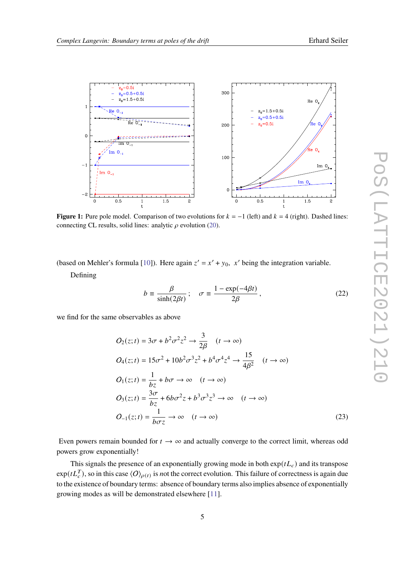<span id="page-4-0"></span>

**Figure 1:** Pure pole model. Comparison of two evolutions for  $k = -1$  (left) and  $k = 4$  (right). Dashed lines: connecting CL results, solid lines: analytic  $\rho$  evolution [\(20\)](#page-3-1).

(based on Mehler's formula [\[10\]](#page-6-9)). Here again  $z' = x' + y_0$ , x' being the integration variable.

Defining

$$
b \equiv \frac{\beta}{\sinh(2\beta t)}; \quad \sigma \equiv \frac{1 - \exp(-4\beta t)}{2\beta}, \tag{22}
$$

we find for the same observables as above

$$
O_2(z;t) = 3\sigma + b^2 \sigma^2 z^2 \rightarrow \frac{3}{2\beta} \quad (t \rightarrow \infty)
$$
  
\n
$$
O_4(z;t) = 15\sigma^2 + 10b^2 \sigma^3 z^2 + b^4 \sigma^4 z^4 \rightarrow \frac{15}{4\beta^2} \quad (t \rightarrow \infty)
$$
  
\n
$$
O_1(z;t) = \frac{1}{bz} + b\sigma \rightarrow \infty \quad (t \rightarrow \infty)
$$
  
\n
$$
O_3(z;t) = \frac{3\sigma}{bz} + 6b\sigma^2 z + b^3 \sigma^3 z^3 \rightarrow \infty \quad (t \rightarrow \infty)
$$
  
\n
$$
O_{-1}(z;t) = \frac{1}{b\sigma z} \rightarrow \infty \quad (t \rightarrow \infty)
$$
\n(23)

Even powers remain bounded for  $t \to \infty$  and actually converge to the correct limit, whereas odd powers grow exponentially!

This signals the presence of an exponentially growing mode in both  $\exp(tL_c)$  and its transpose  $exp(tL_C^T)$ , so in this case  $\langle O \rangle_{\rho(t)}$  is *n*ot the correct evolution. This failure of correctness is again due to the existence of boundary terms: absence of boundary terms also implies absence of exponentially growing modes as will be demonstrated elsewhere [\[11\]](#page-6-10).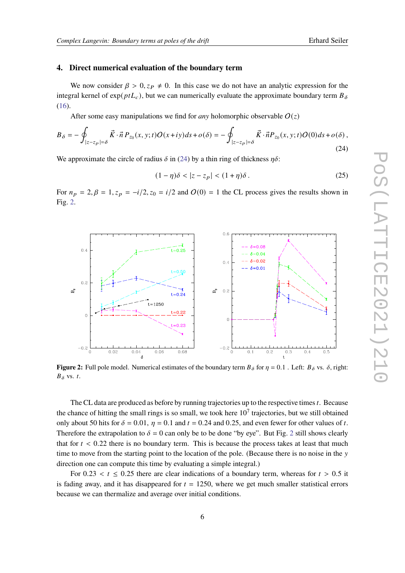#### **4. Direct numerical evaluation of the boundary term**

We now consider  $\beta > 0$ ,  $z_P \neq 0$ . In this case we do not have an analytic expression for the integral kernel of exp( $ptL_c$ ), but we can numerically evaluate the approximate boundary term  $B_\delta$ [\(16\)](#page-2-2).

After some easy manipulations we find for *any* holomorphic observable  $O(z)$ 

<span id="page-5-0"></span>
$$
B_{\delta} = -\oint_{|z-z_p|= \delta} \vec{K} \cdot \vec{n} P_{z_0}(x, y; t) O(x+iy) ds + o(\delta) = -\oint_{|z-z_p|= \delta} \vec{K} \cdot \vec{n} P_{z_0}(x, y; t) O(0) ds + o(\delta), \tag{24}
$$

We approximate the circle of radius  $\delta$  in [\(24\)](#page-5-0) by a thin ring of thickness  $\eta \delta$ :

$$
(1 - \eta)\delta < |z - z_p| < (1 + \eta)\delta. \tag{25}
$$

For  $n_p = 2$ ,  $\beta = 1$ ,  $z_p = -i/2$ ,  $z_0 = i/2$  and  $O(0) = 1$  the CL process gives the results shown in Fig. [2.](#page-5-1)

<span id="page-5-1"></span>

**Figure 2:** Full pole model. Numerical estimates of the boundary term  $B_{\delta}$  for  $\eta = 0.1$ . Left:  $B_{\delta}$  vs.  $\delta$ , right:  $B_{\delta}$  vs. t.

The CL data are produced as before by running trajectories up to the respective times  $t$ . Because the chance of hitting the small rings is so small, we took here  $10<sup>7</sup>$  trajectories, but we still obtained only about 50 hits for  $\delta = 0.01$ ,  $\eta = 0.1$  and  $t = 0.24$  and 0.25, and even fewer for other values of t. Therefore the extrapolation to  $\delta = 0$  can only be to be done "by eye". But Fig. [2](#page-5-1) still shows clearly that for  $t < 0.22$  there is no boundary term. This is because the process takes at least that much time to move from the starting point to the location of the pole. (Because there is no noise in the y direction one can compute this time by evaluating a simple integral.)

For 0.23  $\lt t \leq 0.25$  there are clear indications of a boundary term, whereas for  $t > 0.5$  it is fading away, and it has disappeared for  $t = 1250$ , where we get much smaller statistical errors because we can thermalize and average over initial conditions.